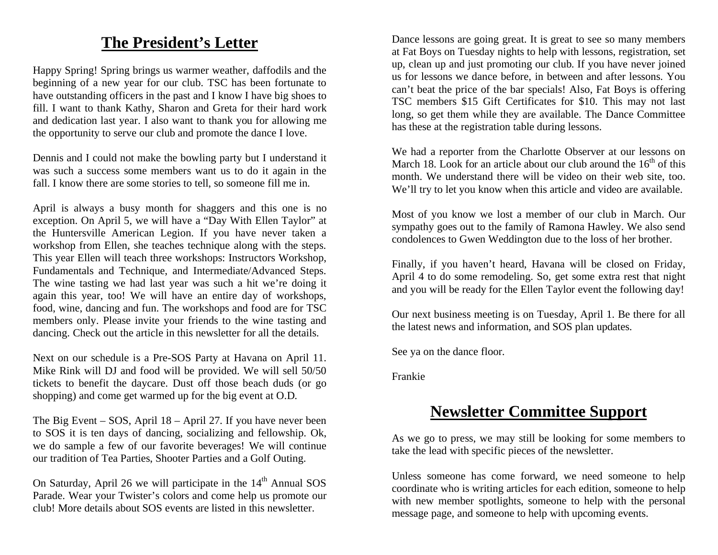## **The President's Letter**

Happy Spring! Spring brings us warmer weather, daffodils and the beginning of a new year for our club. TSC has been fortunate to have outstanding officers in the past and I know I have big shoes to fill. I want to thank Kathy, Sharon and Greta for their hard work and dedication last year. I also want to thank you for allowing me the opportunity to serve our club and promote the dance I love.

Dennis and I could not make the bowling party but I understand it was such a success some members want us to do it again in the fall. I know there are some stories to tell, so someone fill me in.

April is always a busy month for shaggers and this one is no exception. On April 5, we will have a "Day With Ellen Taylor" at the Huntersville American Legion. If you have never taken a workshop from Ellen, she teaches technique along with the steps. This year Ellen will teach three workshops: Instructors Workshop, Fundamentals and Technique, and Intermediate/Advanced Steps. The wine tasting we had last year was such a hit we're doing it again this year, too! We will have an entire day of workshops, food, wine, dancing and fun. The workshops and food are for TSC members only. Please invite your friends to the wine tasting and dancing. Check out the article in this newsletter for all the details.

Next on our schedule is a Pre-SOS Party at Havana on April 11. Mike Rink will DJ and food will be provided. We will sell 50/50 tickets to benefit the daycare. Dust off those beach duds (or go shopping) and come get warmed up for the big event at O.D.

The Big Event – SOS, April 18 – April 27. If you have never been to SOS it is ten days of dancing, socializing and fellowship. Ok, we do sample a few of our favorite beverages! We will continue our tradition of Tea Parties, Shooter Parties and a Golf Outing.

On Saturday, April 26 we will participate in the 14<sup>th</sup> Annual SOS Parade. Wear your Twister's colors and come help us promote our club! More details about SOS events are listed in this newsletter.

Dance lessons are going great. It is great to see so many members at Fat Boys on Tuesday nights to help with lessons, registration, set up, clean up and just promoting our club. If you have never joined us for lessons we dance before, in between and after lessons. You can't beat the price of the bar specials! Also, Fat Boys is offering TSC members \$15 Gift Certificates for \$10. This may not last long, so get them while they are available. The Dance Committee has these at the registration table during lessons.

We had a reporter from the Charlotte Observer at our lessons on March 18. Look for an article about our club around the  $16<sup>th</sup>$  of this month. We understand there will be video on their web site, too. We'll try to let you know when this article and video are available.

Most of you know we lost a member of our club in March. Our sympathy goes out to the family of Ramona Hawley. We also send condolences to Gwen Weddington due to the loss of her brother.

Finally, if you haven't heard, Havana will be closed on Friday, April 4 to do some remodeling. So, get some extra rest that night and you will be ready for the Ellen Taylor event the following day!

Our next business meeting is on Tuesday, April 1. Be there for all the latest news and information, and SOS plan updates.

See ya on the dance floor.

Frankie

## **Newsletter Committee Support**

As we go to press, we may still be looking for some members to take the lead with specific pieces of the newsletter.

Unless someone has come forward, we need someone to help coordinate who is writing articles for each edition, someone to help with new member spotlights, someone to help with the personal message page, and someone to help with upcoming events.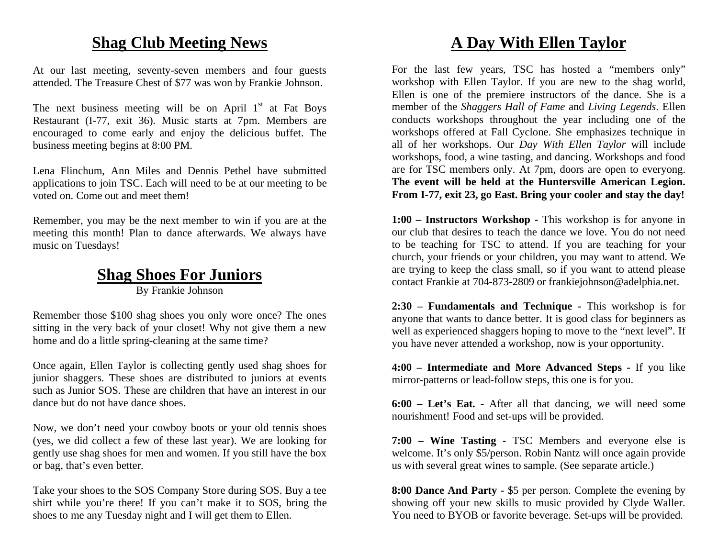### **Shag Club Meeting News**

At our last meeting, seventy-seven members and four guests attended. The Treasure Chest of \$77 was won by Frankie Johnson.

The next business meeting will be on April  $1<sup>st</sup>$  at Fat Boys Restaurant (I-77, exit 36). Music starts at 7pm. Members are encouraged to come early and enjoy the delicious buffet. The business meeting begins at 8:00 PM.

Lena Flinchum, Ann Miles and Dennis Pethel have submitted applications to join TSC. Each will need to be at our meeting to be voted on. Come out and meet them!

Remember, you may be the next member to win if you are at the meeting this month! Plan to dance afterwards. We always have music on Tuesdays!

### **Shag Shoes For Juniors** By Frankie Johnson

Remember those \$100 shag shoes you only wore once? The ones sitting in the very back of your closet! Why not give them a new home and do a little spring-cleaning at the same time?

Once again, Ellen Taylor is collecting gently used shag shoes for junior shaggers. These shoes are distributed to juniors at events such as Junior SOS. These are children that have an interest in our dance but do not have dance shoes.

Now, we don't need your cowboy boots or your old tennis shoes (yes, we did collect a few of these last year). We are looking for gently use shag shoes for men and women. If you still have the box or bag, that's even better.

Take your shoes to the SOS Company Store during SOS. Buy a tee shirt while you're there! If you can't make it to SOS, bring the shoes to me any Tuesday night and I will get them to Ellen.

# **A Day With Ellen Taylor**

For the last few years, TSC has hosted a "members only" workshop with Ellen Taylor. If you are new to the shag world, Ellen is one of the premiere instructors of the dance. She is a member of the *Shaggers Hall of Fame* and *Living Legends*. Ellen conducts workshops throughout the year including one of the workshops offered at Fall Cyclone. She emphasizes technique in all of her workshops. Our *Day With Ellen Taylor* will include workshops, food, a wine tasting, and dancing. Workshops and food are for TSC members only. At 7pm, doors are open to everyong. **The event will be held at the Huntersville American Legion. From I-77, exit 23, go East. Bring your cooler and stay the day!** 

**1:00 – Instructors Workshop -** This workshop is for anyone in our club that desires to teach the dance we love. You do not need to be teaching for TSC to attend. If you are teaching for your church, your friends or your children, you may want to attend. We are trying to keep the class small, so if you want to attend please contact Frankie at 704-873-2809 or frankiejohnson@adelphia.net.

**2:30 – Fundamentals and Technique -** This workshop is for anyone that wants to dance better. It is good class for beginners as well as experienced shaggers hoping to move to the "next level". If you have never attended a workshop, now is your opportunity.

**4:00 – Intermediate and More Advanced Steps -** If you like mirror-patterns or lead-follow steps, this one is for you.

**6:00 – Let's Eat. -** After all that dancing, we will need some nourishment! Food and set-ups will be provided.

**7:00 – Wine Tasting -** TSC Members and everyone else is welcome. It's only \$5/person. Robin Nantz will once again provide us with several great wines to sample. (See separate article.)

**8:00 Dance And Party -** \$5 per person. Complete the evening by showing off your new skills to music provided by Clyde Waller. You need to BYOB or favorite beverage. Set-ups will be provided.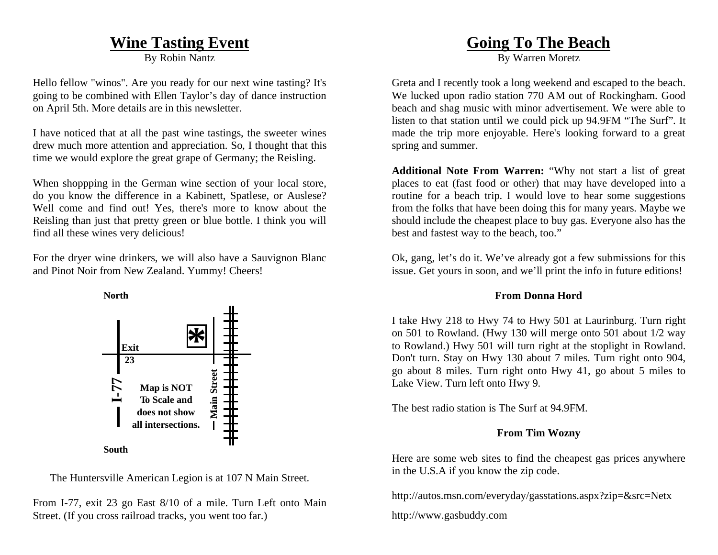### **Wine Tasting Event**

By Robin Nantz

Hello fellow "winos". Are you ready for our next wine tasting? It's going to be combined with Ellen Taylor's day of dance instruction on April 5th. More details are in this newsletter.

I have noticed that at all the past wine tastings, the sweeter wines drew much more attention and appreciation. So, I thought that this time we would explore the great grape of Germany; the Reisling.

When shoppping in the German wine section of your local store, do you know the difference in a Kabinett, Spatlese, or Auslese? Well come and find out! Yes, there's more to know about the Reisling than just that pretty green or blue bottle. I think you will find all these wines very delicious!

For the dryer wine drinkers, we will also have a Sauvignon Blanc and Pinot Noir from New Zealand. Yummy! Cheers!



The Huntersville American Legion is at 107 N Main Street.

From I-77, exit 23 go East 8/10 of a mile. Turn Left onto Main Street. (If you cross railroad tracks, you went too far.)

### **Going To The Beach**

By Warren Moretz

Greta and I recently took a long weekend and escaped to the beach. We lucked upon radio station 770 AM out of Rockingham. Good beach and shag music with minor advertisement. We were able to listen to that station until we could pick up 94.9FM "The Surf". It made the trip more enjoyable. Here's looking forward to a great spring and summer.

**Additional Note From Warren:** "Why not start a list of great places to eat (fast food or other) that may have developed into a routine for a beach trip. I would love to hear some suggestions from the folks that have been doing this for many years. Maybe we should include the cheapest place to buy gas. Everyone also has the best and fastest way to the beach, too."

Ok, gang, let's do it. We've already got a few submissions for this issue. Get yours in soon, and we'll print the info in future editions!

#### **From Donna Hord**

I take Hwy 218 to Hwy 74 to Hwy 501 at Laurinburg. Turn right on 501 to Rowland. (Hwy 130 will merge onto 501 about 1/2 way to Rowland.) Hwy 501 will turn right at the stoplight in Rowland. Don't turn. Stay on Hwy 130 about 7 miles. Turn right onto 904, go about 8 miles. Turn right onto Hwy 41, go about 5 miles to Lake View. Turn left onto Hwy 9.

The best radio station is The Surf at 94.9FM.

#### **From Tim Wozny**

Here are some web sites to find the cheapest gas prices anywhere in the U.S.A if you know the zip code.

http://autos.msn.com/everyday/gasstations.aspx?zip=&src=Netx

http://www.gasbuddy.com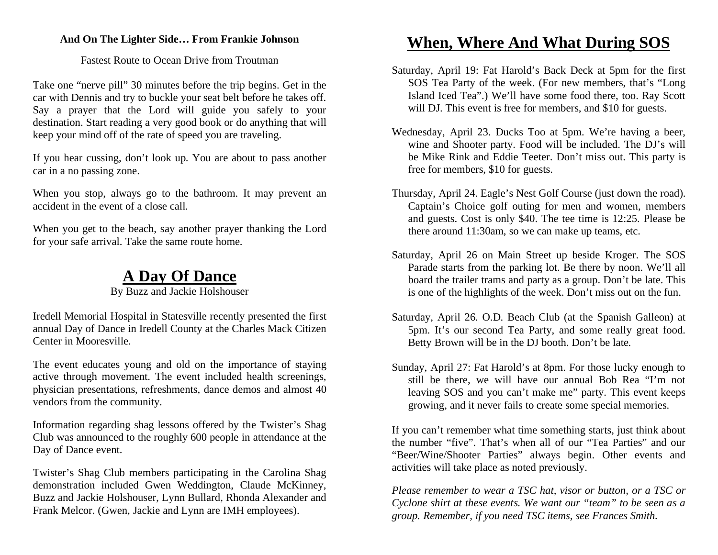#### **And On The Lighter Side… From Frankie Johnson**

Fastest Route to Ocean Drive from Troutman

Take one "nerve pill" 30 minutes before the trip begins. Get in the car with Dennis and try to buckle your seat belt before he takes off. Say a prayer that the Lord will guide you safely to your destination. Start reading a very good book or do anything that will keep your mind off of the rate of speed you are traveling.

If you hear cussing, don't look up. You are about to pass another car in a no passing zone.

When you stop, always go to the bathroom. It may prevent an accident in the event of a close call.

When you get to the beach, say another prayer thanking the Lord for your safe arrival. Take the same route home.

### **A Day Of Dance**

By Buzz and Jackie Holshouser

Iredell Memorial Hospital in Statesville recently presented the first annual Day of Dance in Iredell County at the Charles Mack Citizen Center in Mooresville.

The event educates young and old on the importance of staying active through movement. The event included health screenings, physician presentations, refreshments, dance demos and almost 40 vendors from the community.

Information regarding shag lessons offered by the Twister's Shag Club was announced to the roughly 600 people in attendance at the Day of Dance event.

Twister's Shag Club members participating in the Carolina Shag demonstration included Gwen Weddington, Claude McKinney, Buzz and Jackie Holshouser, Lynn Bullard, Rhonda Alexander and Frank Melcor. (Gwen, Jackie and Lynn are IMH employees).

## **When, Where And What During SOS**

- Saturday, April 19: Fat Harold's Back Deck at 5pm for the first SOS Tea Party of the week. (For new members, that's "Long Island Iced Tea".) We'll have some food there, too. Ray Scott will DJ. This event is free for members, and \$10 for guests.
- Wednesday, April 23. Ducks Too at 5pm. We're having a beer, wine and Shooter party. Food will be included. The DJ's will be Mike Rink and Eddie Teeter. Don't miss out. This party is free for members, \$10 for guests.
- Thursday, April 24. Eagle's Nest Golf Course (just down the road). Captain's Choice golf outing for men and women, members and guests. Cost is only \$40. The tee time is 12:25. Please be there around 11:30am, so we can make up teams, etc.
- Saturday, April 26 on Main Street up beside Kroger. The SOS Parade starts from the parking lot. Be there by noon. We'll all board the trailer trams and party as a group. Don't be late. This is one of the highlights of the week. Don't miss out on the fun.
- Saturday, April 26. O.D. Beach Club (at the Spanish Galleon) at 5pm. It's our second Tea Party, and some really great food. Betty Brown will be in the DJ booth. Don't be late.
- Sunday, April 27: Fat Harold's at 8pm. For those lucky enough to still be there, we will have our annual Bob Rea "I'm not leaving SOS and you can't make me" party. This event keeps growing, and it never fails to create some special memories.

If you can't remember what time something starts, just think about the number "five". That's when all of our "Tea Parties" and our "Beer/Wine/Shooter Parties" always begin. Other events and activities will take place as noted previously.

*Please remember to wear a TSC hat, visor or button, or a TSC or Cyclone shirt at these events. We want our "team" to be seen as a group. Remember, if you need TSC items, see Frances Smith.*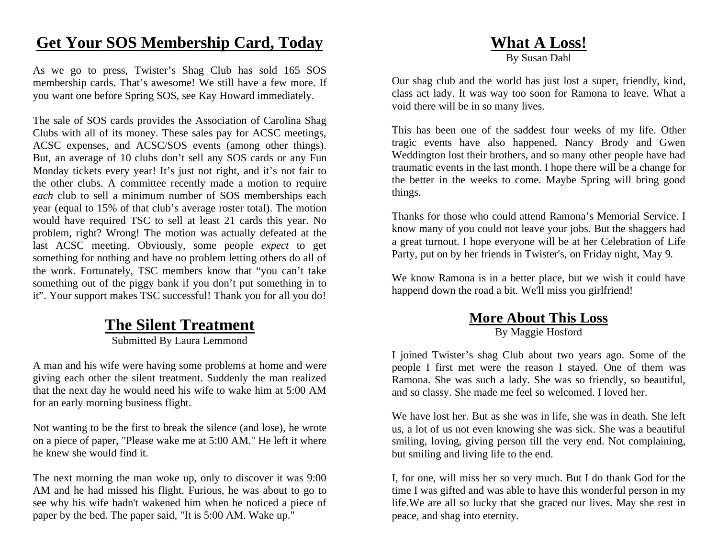## **Get Your SOS Membership Card, Today**

As we go to press, Twister's Shag Club has sold 165 SOS membership cards. That's awesome! We still have a few more. If you want one before Spring SOS, see Kay Howard immediately.

The sale of SOS cards provides the Association of Carolina Shag Clubs with all of its money. These sales pay for ACSC meetings, ACSC expenses, and ACSC/SOS events (among other things). But, an average of 10 clubs don't sell any SOS cards or any Fun Monday tickets every year! It's just not right, and it's not fair to the other clubs. A committee recently made a motion to require *each* club to sell a minimum number of SOS memberships each year (equal to 15% of that club's average roster total). The motion would have required TSC to sell at least 21 cards this year. No problem, right? Wrong! The motion was actually defeated at the last ACSC meeting. Obviously, some people *expec<sup>t</sup>* to get something for nothing and have no problem letting others do all of the work. Fortunately, TSC members know that "you can't take something out of the piggy bank if you don't put something in to it". Your support makes TSC successful! Thank you for all you do!

### **The Silent Treatment**

Submitted By Laura Lemmond

A man and his wife were having some problems at home and were giving each other the silent treatment. Suddenly the man realized that the next day he would need his wife to wake him at 5:00 AM for an early morning business flight.

Not wanting to be the first to break the silence (and lose), he wrote on a piece of paper, "Please wake me at 5:00 AM." He left it where he knew she would find it.

The next morning the man woke up, only to discover it was 9:00 AM and he had missed his flight. Furious, he was about to go to see why his wife hadn't wakened him when he noticed a piece of paper by the bed. The paper said, "It is 5:00 AM. Wake up."

### **What A Loss!**

By Susan Dahl

Our shag club and the world has just lost a super, friendly, kind, class act lady. It was way too soon for Ramona to leave. What a void there will be in so many lives.

This has been one of the saddest four weeks of my life. Other tragic events have also happened. Nancy Brody and Gwen Weddington lost their brothers, and so many other people have had traumatic events in the last month. I hope there will be a change for the better in the weeks to come. Maybe Spring will bring good things.

Thanks for those who could attend Ramona's Memorial Service. I know many of you could not leave your jobs. But the shaggers had a great turnout. I hope everyone will be at her Celebration of Life Party, put on by her friends in Twister's, on Friday night, May 9.

We know Ramona is in a better place, but we wish it could have happend down the road a bit. We'll miss you girlfriend!

# **More About This Loss**

By Maggie Hosford

I joined Twister's shag Club about two years ago. Some of the people I first met were the reason I stayed. One of them was Ramona. She was such a lady. She was so friendly, so beautiful, and so classy. She made me feel so welcomed. I loved her.

We have lost her. But as she was in life, she was in death. She left us, a lot of us not even knowing she was sick. She was a beautiful smiling, loving, giving person till the very end. Not complaining, but smiling and living life to the end.

I, for one, will miss her so very much. But I do thank God for the time I was gifted and was able to have this wonderful person in my life.We are all so lucky that she graced our lives. May she rest in peace, and shag into eternity.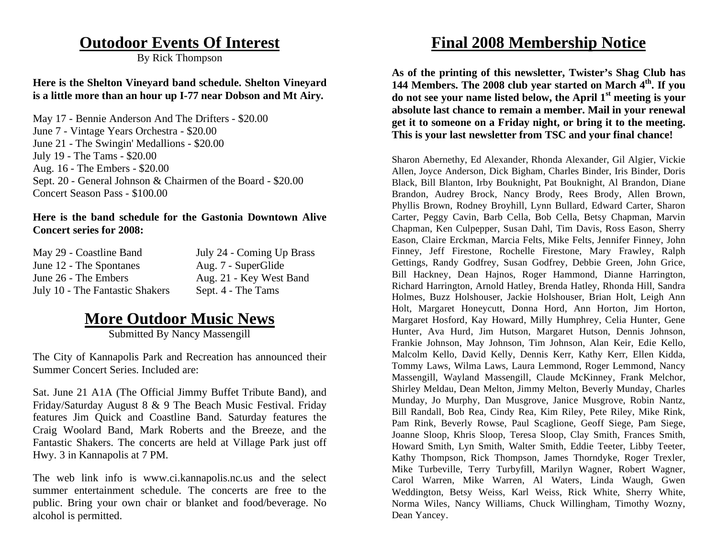### **Outodoor Events Of Interest**

By Rick Thompson

#### **Here is the Shelton Vineyard band schedule. Shelton Vineyard is a little more than an hour up I-77 near Dobson and Mt Airy.**

May 17 - Bennie Anderson And The Drifters - \$20.00 June 7 - Vintage Years Orchestra - \$20.00 June 21 - The Swingin' Medallions - \$20.00 July 19 - The Tams - \$20.00 Aug. 16 - The Embers - \$20.00 Sept. 20 - General Johnson & Chairmen of the Board - \$20.00 Concert Season Pass - \$100.00

#### **Here is the band schedule for the Gastonia Downtown Alive Concert series for 2008:**

| May 29 - Coastline Band         | July 24 - Coming Up Brass |
|---------------------------------|---------------------------|
| June 12 - The Spontanes         | Aug. 7 - SuperGlide       |
| June 26 - The Embers            | Aug. 21 - Key West Band   |
| July 10 - The Fantastic Shakers | Sept. 4 - The Tams        |

### **More Outdoor Music News**

Submitted By Nancy Massengill

The City of Kannapolis Park and Recreation has announced their Summer Concert Series. Included are:

Sat. June 21 A1A (The Official Jimmy Buffet Tribute Band), and Friday/Saturday August 8 & 9 The Beach Music Festival. Friday features Jim Quick and Coastline Band. Saturday features the Craig Woolard Band, Mark Roberts and the Breeze, and the Fantastic Shakers. The concerts are held at Village Park just off Hwy. 3 in Kannapolis at 7 PM.

The web link info is www.ci.kannapolis.nc.us and the select summer entertainment schedule. The concerts are free to the public. Bring your own chair or blanket and food/beverage. No alcohol is permitted.

## **Final 2008 Membership Notice**

**As of the printing of this newsletter, Twister's Shag Club has 144 Members. The 2008 club year started on March 4th. If you do not see your name listed below, the April 1st meeting is your absolute last chance to remain a member. Mail in your renewal get it to someone on a Friday night, or bring it to the meeting. This is your last newsletter from TSC and your final chance!** 

Sharon Abernethy, Ed Alexander, Rhonda Alexander, Gil Algier, Vickie Allen, Joyce Anderson, Dick Bigham, Charles Binder, Iris Binder, Doris Black, Bill Blanton, Irby Bouknight, Pat Bouknight, Al Brandon, Diane Brandon, Audrey Brock, Nancy Brody, Rees Brody, Allen Brown, Phyllis Brown, Rodney Broyhill, Lynn Bullard, Edward Carter, Sharon Carter, Peggy Cavin, Barb Cella, Bob Cella, Betsy Chapman, Marvin Chapman, Ken Culpepper, Susan Dahl, Tim Davis, Ross Eason, Sherry Eason, Claire Erckman, Marcia Felts, Mike Felts, Jennifer Finney, John Finney, Jeff Firestone, Rochelle Firestone, Mary Frawley, Ralph Gettings, Randy Godfrey, Susan Godfrey, Debbie Green, John Grice, Bill Hackney, Dean Hajnos, Roger Hammond, Dianne Harrington, Richard Harrington, Arnold Hatley, Brenda Hatley, Rhonda Hill, Sandra Holmes, Buzz Holshouser, Jackie Holshouser, Brian Holt, Leigh Ann Holt, Margaret Honeycutt, Donna Hord, Ann Horton, Jim Horton, Margaret Hosford, Kay Howard, Milly Humphrey, Celia Hunter, Gene Hunter, Ava Hurd, Jim Hutson, Margaret Hutson, Dennis Johnson, Frankie Johnson, May Johnson, Tim Johnson, Alan Keir, Edie Kello, Malcolm Kello, David Kelly, Dennis Kerr, Kathy Kerr, Ellen Kidda, Tommy Laws, Wilma Laws, Laura Lemmond, Roger Lemmond, Nancy Massengill, Wayland Massengill, Claude McKinney, Frank Melchor, Shirley Meldau, Dean Melton, Jimmy Melton, Beverly Munday, Charles Munday, Jo Murphy, Dan Musgrove, Janice Musgrove, Robin Nantz, Bill Randall, Bob Rea, Cindy Rea, Kim Riley, Pete Riley, Mike Rink, Pam Rink, Beverly Rowse, Paul Scaglione, Geoff Siege, Pam Siege, Joanne Sloop, Khris Sloop, Teresa Sloop, Clay Smith, Frances Smith, Howard Smith, Lyn Smith, Walter Smith, Eddie Teeter, Libby Teeter, Kathy Thompson, Rick Thompson, James Thorndyke, Roger Trexler, Mike Turbeville, Terry Turbyfill, Marilyn Wagner, Robert Wagner, Carol Warren, Mike Warren, Al Waters, Linda Waugh, Gwen Weddington, Betsy Weiss, Karl Weiss, Rick White, Sherry White, Norma Wiles, Nancy Williams, Chuck Willingham, Timothy Wozny, Dean Yancey.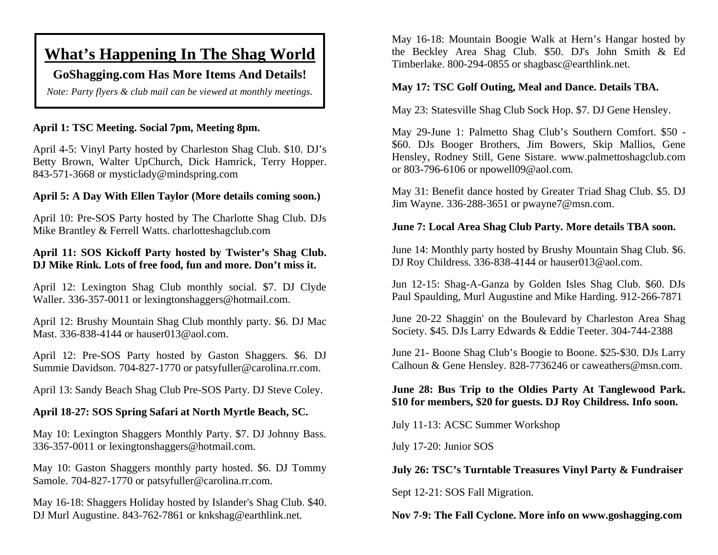## **What's Happening In The Shag World**

### **GoShagging.com Has More Items And Details!**

*Note: Party flyers & club mail can be viewed at monthly meetings.* 

#### **April 1: TSC Meeting. Social 7pm, Meeting 8pm.**

April 4-5: Vinyl Party hosted by Charleston Shag Club. \$10. DJ's Betty Brown, Walter UpChurch, Dick Hamrick, Terry Hopper. 843-571-3668 or mysticlady@mindspring.com

#### **April 5: A Day With Ellen Taylor (More details coming soon.)**

April 10: Pre-SOS Party hosted by The Charlotte Shag Club. DJs Mike Brantley & Ferrell Watts. charlotteshagclub.com

#### **April 11: SOS Kickoff Party hosted by Twister's Shag Club. DJ Mike Rink. Lots of free food, fun and more. Don't miss it.**

April 12: Lexington Shag Club monthly social. \$7. DJ Clyde Waller. 336-357-0011 or lexingtonshaggers@hotmail.com.

April 12: Brushy Mountain Shag Club monthly party. \$6. DJ Mac Mast. 336-838-4144 or hauser013@aol.com.

April 12: Pre-SOS Party hosted by Gaston Shaggers. \$6. DJ Summie Davidson. 704-827-1770 or patsyfuller@carolina.rr.com.

April 13: Sandy Beach Shag Club Pre-SOS Party. DJ Steve Coley.

#### **April 18-27: SOS Spring Safari at North Myrtle Beach, SC.**

May 10: Lexington Shaggers Monthly Party. \$7. DJ Johnny Bass. 336-357-0011 or lexingtonshaggers@hotmail.com.

May 10: Gaston Shaggers monthly party hosted. \$6. DJ Tommy Samole. 704-827-1770 or patsyfuller@carolina.rr.com.

May 16-18: Shaggers Holiday hosted by Islander's Shag Club. \$40. DJ Murl Augustine. 843-762-7861 or knkshag@earthlink.net.

May 16-18: Mountain Boogie Walk at Hern's Hangar hosted by the Beckley Area Shag Club. \$50. DJ's John Smith & Ed Timberlake. 800-294-0855 or shagbasc@earthlink.net.

#### **May 17: TSC Golf Outing, Meal and Dance. Details TBA.**

May 23: Statesville Shag Club Sock Hop. \$7. DJ Gene Hensley.

May 29-June 1: Palmetto Shag Club's Southern Comfort. \$50 - \$60. DJs Booger Brothers, Jim Bowers, Skip Mallios, Gene Hensley, Rodney Still, Gene Sistare. www.palmettoshagclub.com or 803-796-6106 or npowell09@aol.com.

May 31: Benefit dance hosted by Greater Triad Shag Club. \$5. DJ Jim Wayne. 336-288-3651 or pwayne7@msn.com.

#### **June 7: Local Area Shag Club Party. More details TBA soon.**

June 14: Monthly party hosted by Brushy Mountain Shag Club. \$6. DJ Roy Childress. 336-838-4144 or hauser013@aol.com.

Jun 12-15: Shag-A-Ganza by Golden Isles Shag Club. \$60. DJs Paul Spaulding, Murl Augustine and Mike Harding. 912-266-7871

June 20-22 Shaggin' on the Boulevard by Charleston Area Shag Society. \$45. DJs Larry Edwards & Eddie Teeter. 304-744-2388

June 21- Boone Shag Club's Boogie to Boone. \$25-\$30. DJs Larry Calhoun & Gene Hensley. 828-7736246 or caweathers@msn.com.

#### **June 28: Bus Trip to the Oldies Party At Tanglewood Park. \$10 for members, \$20 for guests. DJ Roy Childress. Info soon.**

July 11-13: ACSC Summer Workshop

July 17-20: Junior SOS

**July 26: TSC's Turntable Treasures Vinyl Party & Fundraiser** 

Sept 12-21: SOS Fall Migration.

**Nov 7-9: The Fall Cyclone. More info on www.goshagging.com**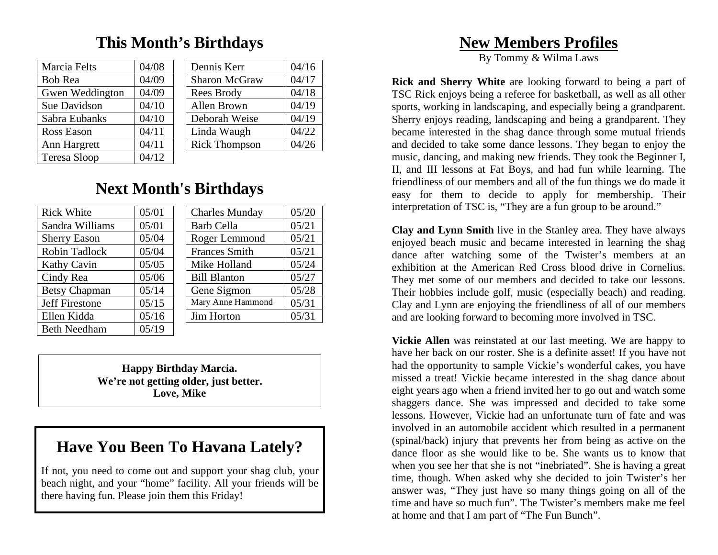## **This Month's Birthdays**

| Marcia Felts           | 04/08 | Dennis Kerr          | 04/16 |
|------------------------|-------|----------------------|-------|
| <b>Bob Rea</b>         | 04/09 | <b>Sharon McGraw</b> | 04/17 |
| <b>Gwen Weddington</b> | 04/09 | Rees Brody           | 04/18 |
| Sue Davidson           | 04/10 | Allen Brown          | 04/19 |
| Sabra Eubanks          | 04/10 | Deborah Weise        | 04/19 |
| Ross Eason             | 04/11 | Linda Waugh          | 04/22 |
| Ann Hargrett           | 04/11 | <b>Rick Thompson</b> | 04/26 |
| <b>Teresa Sloop</b>    | 04/12 |                      |       |

| Dennis Kerr          | 04/16 |
|----------------------|-------|
| <b>Sharon McGraw</b> | 04/17 |
| Rees Brody           | 04/18 |
| Allen Brown          | 04/19 |
| Deborah Weise        | 04/19 |
| Linda Waugh          | 04/22 |
| <b>Rick Thompson</b> | 04/26 |

## **Next Month's Birthdays**

| <b>Rick White</b>    | 05/01 | <b>Charles Munday</b> | 05/20 |
|----------------------|-------|-----------------------|-------|
| Sandra Williams      | 05/01 | <b>Barb Cella</b>     | 05/21 |
| <b>Sherry Eason</b>  | 05/04 | Roger Lemmond         | 05/21 |
| Robin Tadlock        | 05/04 | <b>Frances Smith</b>  | 05/21 |
| <b>Kathy Cavin</b>   | 05/05 | Mike Holland          | 05/24 |
| Cindy Rea            | 05/06 | <b>Bill Blanton</b>   | 05/27 |
| <b>Betsy Chapman</b> | 05/14 | Gene Sigmon           | 05/28 |
| Jeff Firestone       | 05/15 | Mary Anne Hammond     | 05/31 |
| Ellen Kidda          | 05/16 | Jim Horton            | 05/31 |
| <b>Beth Needham</b>  | 05/19 |                       |       |

**Happy Birthday Marcia. We're not getting older, just better. Love, Mike** 

# **Have You Been To Havana Lately?**

If not, you need to come out and support your shag club, your beach night, and your "home" facility. All your friends will be there having fun. Please join them this Friday!

## **New Members Profiles**

By Tommy & Wilma Laws

**Rick and Sherry White** are looking forward to being a part of TSC Rick enjoys being a referee for basketball, as well as all other sports, working in landscaping, and especially being a grandparent. Sherry enjoys reading, landscaping and being a grandparent. They became interested in the shag dance through some mutual friends and decided to take some dance lessons. They began to enjoy the music, dancing, and making new friends. They took the Beginner I, II, and III lessons at Fat Boys, and had fun while learning. The friendliness of our members and all of the fun things we do made it easy for them to decide to apply for membership. Their interpretation of TSC is, "They are a fun group to be around."

**Clay and Lynn Smith** live in the Stanley area. They have always enjoyed beach music and became interested in learning the shag dance after watching some of the Twister's members at an exhibition at the American Red Cross blood drive in Cornelius. They met some of our members and decided to take our lessons. Their hobbies include golf, music (especially beach) and reading. Clay and Lynn are enjoying the friendliness of all of our members and are looking forward to becoming more involved in TSC.

**Vickie Allen** was reinstated at our last meeting. We are happy to have her back on our roster. She is a definite asset! If you have not had the opportunity to sample Vickie's wonderful cakes, you have missed a treat! Vickie became interested in the shag dance about eight years ago when a friend invited her to go out and watch some shaggers dance. She was impressed and decided to take some lessons. However, Vickie had an unfortunate turn of fate and was involved in an automobile accident which resulted in a permanent (spinal/back) injury that prevents her from being as active on the dance floor as she would like to be. She wants us to know that when you see her that she is not "inebriated". She is having a great time, though. When asked why she decided to join Twister's her answer was, "They just have so many things going on all of the time and have so much fun". The Twister's members make me feel at home and that I am part of "The Fun Bunch".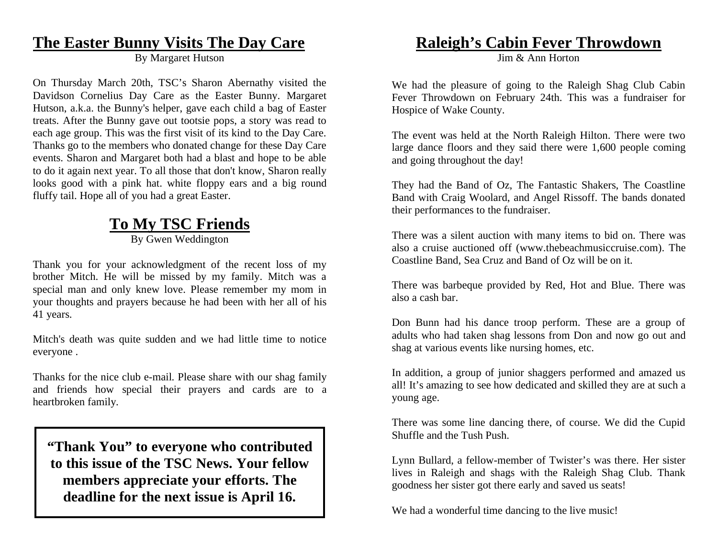### **The Easter Bunny Visits The Day Care**

By Margaret Hutson

On Thursday March 20th, TSC's Sharon Abernathy visited the Davidson Cornelius Day Care as the Easter Bunny. Margaret Hutson, a.k.a. the Bunny's helper, gave each child a bag of Easter treats. After the Bunny gave out tootsie pops, a story was read to each age group. This was the first visit of its kind to the Day Care. Thanks go to the members who donated change for these Day Care events. Sharon and Margaret both had a blast and hope to be able to do it again next year. To all those that don't know, Sharon really looks good with a pink hat. white floppy ears and a big round fluffy tail. Hope all of you had a great Easter.

### **To My TSC Friends** By Gwen Weddington

Thank you for your acknowledgment of the recent loss of my brother Mitch. He will be missed by my family. Mitch was a special man and only knew love. Please remember my mom in your thoughts and prayers because he had been with her all of his 41 years.

Mitch's death was quite sudden and we had little time to notice everyone .

Thanks for the nice club e-mail. Please share with our shag family and friends how special their prayers and cards are to a heartbroken family.

**"Thank You" to everyone who contributed to this issue of the TSC News. Your fellow members appreciate your efforts. The deadline for the next issue is April 16.** 

### **Raleigh's Cabin Fever Throwdown**

Jim & Ann Horton

We had the pleasure of going to the Raleigh Shag Club Cabin Fever Throwdown on February 24th. This was a fundraiser for Hospice of Wake County.

The event was held at the North Raleigh Hilton. There were two large dance floors and they said there were 1,600 people coming and going throughout the day!

They had the Band of Oz, The Fantastic Shakers, The Coastline Band with Craig Woolard, and Angel Rissoff. The bands donated their performances to the fundraiser.

There was a silent auction with many items to bid on. There was also a cruise auctioned off (www.thebeachmusiccruise.com). The Coastline Band, Sea Cruz and Band of Oz will be on it.

There was barbeque provided by Red, Hot and Blue. There was also a cash bar.

Don Bunn had his dance troop perform. These are a group of adults who had taken shag lessons from Don and now go out and shag at various events like nursing homes, etc.

In addition, a group of junior shaggers performed and amazed us all! It's amazing to see how dedicated and skilled they are at such a young age.

There was some line dancing there, of course. We did the Cupid Shuffle and the Tush Push.

Lynn Bullard, a fellow-member of Twister's was there. Her sister lives in Raleigh and shags with the Raleigh Shag Club. Thank goodness her sister got there early and saved us seats!

We had a wonderful time dancing to the live music!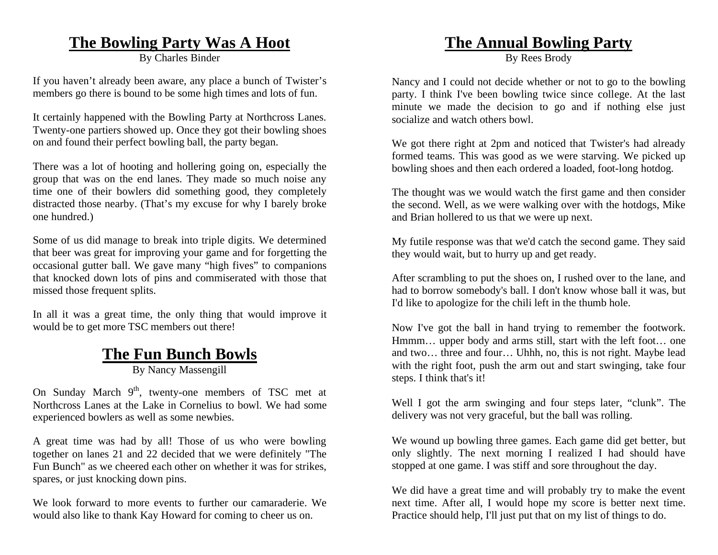### **The Bowling Party Was A Hoot**

By Charles Binder

If you haven't already been aware, any place a bunch of Twister's members go there is bound to be some high times and lots of fun.

It certainly happened with the Bowling Party at Northcross Lanes. Twenty-one partiers showed up. Once they got their bowling shoes on and found their perfect bowling ball, the party began.

There was a lot of hooting and hollering going on, especially the group that was on the end lanes. They made so much noise any time one of their bowlers did something good, they completely distracted those nearby. (That's my excuse for why I barely broke one hundred.)

Some of us did manage to break into triple digits. We determined that beer was great for improving your game and for forgetting the occasional gutter ball. We gave many "high fives" to companions that knocked down lots of pins and commiserated with those that missed those frequent splits.

In all it was a great time, the only thing that would improve it would be to get more TSC members out there!

## **The Fun Bunch Bowls**

By Nancy Massengill

On Sunday March  $9<sup>th</sup>$ , twenty-one members of TSC met at Northcross Lanes at the Lake in Cornelius to bowl. We had some experienced bowlers as well as some newbies.

A great time was had by all! Those of us who were bowling together on lanes 21 and 22 decided that we were definitely "The Fun Bunch" as we cheered each other on whether it was for strikes, spares, or just knocking down pins.

We look forward to more events to further our camaraderie. We would also like to thank Kay Howard for coming to cheer us on.

## **The Annual Bowling Party**

By Rees Brody

Nancy and I could not decide whether or not to go to the bowling party. I think I've been bowling twice since college. At the last minute we made the decision to go and if nothing else just socialize and watch others bowl.

We got there right at 2pm and noticed that Twister's had already formed teams. This was good as we were starving. We picked up bowling shoes and then each ordered a loaded, foot-long hotdog.

The thought was we would watch the first game and then consider the second. Well, as we were walking over with the hotdogs, Mike and Brian hollered to us that we were up next.

My futile response was that we'd catch the second game. They said they would wait, but to hurry up and get ready.

After scrambling to put the shoes on, I rushed over to the lane, and had to borrow somebody's ball. I don't know whose ball it was, but I'd like to apologize for the chili left in the thumb hole.

Now I've got the ball in hand trying to remember the footwork. Hmmm… upper body and arms still, start with the left foot… one and two… three and four… Uhhh, no, this is not right. Maybe lead with the right foot, push the arm out and start swinging, take four steps. I think that's it!

Well I got the arm swinging and four steps later, "clunk". The delivery was not very graceful, but the ball was rolling.

We wound up bowling three games. Each game did get better, but only slightly. The next morning I realized I had should have stopped at one game. I was stiff and sore throughout the day.

We did have a great time and will probably try to make the event next time. After all, I would hope my score is better next time. Practice should help, I'll just put that on my list of things to do.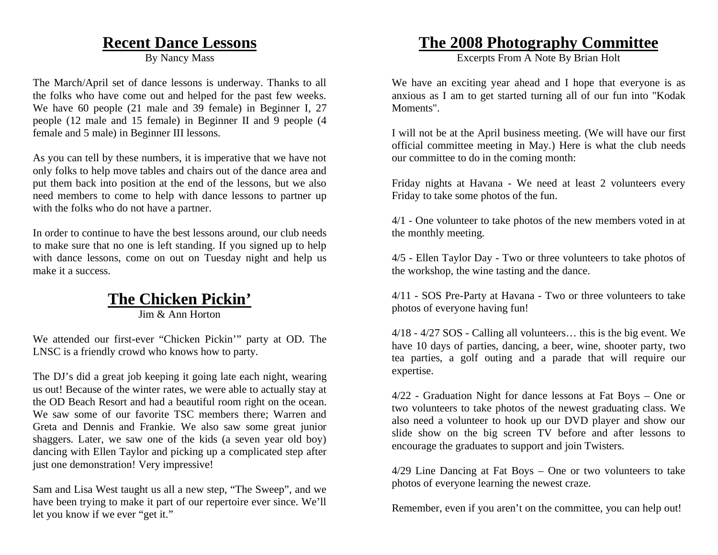### **Recent Dance Lessons**

By Nancy Mass

The March/April set of dance lessons is underway. Thanks to all the folks who have come out and helped for the past few weeks. We have 60 people (21 male and 39 female) in Beginner I, 27 people (12 male and 15 female) in Beginner II and 9 people (4 female and 5 male) in Beginner III lessons.

As you can tell by these numbers, it is imperative that we have not only folks to help move tables and chairs out of the dance area and put them back into position at the end of the lessons, but we also need members to come to help with dance lessons to partner up with the folks who do not have a partner.

In order to continue to have the best lessons around, our club needs to make sure that no one is left standing. If you signed up to help with dance lessons, come on out on Tuesday night and help us make it a success.

## **The Chicken Pickin'**

Jim & Ann Horton

We attended our first-ever "Chicken Pickin'" party at OD. The LNSC is a friendly crowd who knows how to party.

The DJ's did a great job keeping it going late each night, wearing us out! Because of the winter rates, we were able to actually stay at the OD Beach Resort and had a beautiful room right on the ocean. We saw some of our favorite TSC members there; Warren and Greta and Dennis and Frankie. We also saw some great junior shaggers. Later, we saw one of the kids (a seven year old boy) dancing with Ellen Taylor and picking up a complicated step after just one demonstration! Very impressive!

Sam and Lisa West taught us all a new step, "The Sweep", and we have been trying to make it part of our repertoire ever since. We'll let you know if we ever "get it."

## **The 2008 Photography Committee**

Excerpts From A Note By Brian Holt

We have an exciting year ahead and I hope that everyone is as anxious as I am to get started turning all of our fun into "Kodak Moments".

I will not be at the April business meeting. (We will have our first official committee meeting in May.) Here is what the club needs our committee to do in the coming month:

Friday nights at Havana - We need at least 2 volunteers every Friday to take some photos of the fun.

4/1 - One volunteer to take photos of the new members voted in at the monthly meeting.

4/5 - Ellen Taylor Day - Two or three volunteers to take photos of the workshop, the wine tasting and the dance.

4/11 - SOS Pre-Party at Havana - Two or three volunteers to take photos of everyone having fun!

4/18 - 4/27 SOS - Calling all volunteers… this is the big event. We have 10 days of parties, dancing, a beer, wine, shooter party, two tea parties, a golf outing and a parade that will require our expertise.

4/22 - Graduation Night for dance lessons at Fat Boys – One or two volunteers to take photos of the newest graduating class. We also need a volunteer to hook up our DVD player and show our slide show on the big screen TV before and after lessons to encourage the graduates to support and join Twisters.

4/29 Line Dancing at Fat Boys – One or two volunteers to take photos of everyone learning the newest craze.

Remember, even if you aren't on the committee, you can help out!